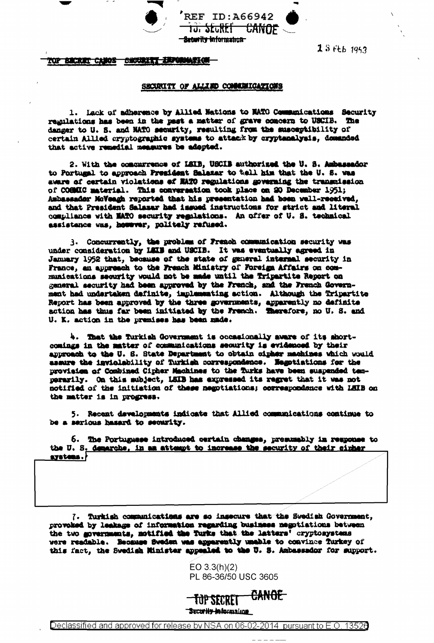

 $13f+b1942$ 

## top Bucket Canos Buchezet Information –

## SECURITY OF ALLIED COMMUNICATIONS

1. Lack of adherence by Allied Nations to NATO Communications Security regulations has been in the past a matter of grave concern to USCIB. The danger to U.S. and NATO security, resulting from the susceptibility of certain Allied cryptographic systems to attack by cryptenalysis, demanded that active remedial measures be adopted.

2. With the concurrence of LSIB, USCIB authorized the U. S. Ambassador to Portugal to approach President Salazar to tell him that the U. S. was aware of certain violations of MATO regulations governing the transmission of COGMIC material. This conversation took place on 20 December 1951; Ambassador MoVeagh reported that his presentation had heen well-received, and that President Salazar had issued instructions for strict and literal compliance with NATO security regulations. An offer of U. S. technical assistance was, however, politely refused.

3. Concurrently, the problem of French communication security was under consideration by LEIB and USCIB. It was eventually agreed in Jammary 1952 that, because of the state of general internal security in France, an appreach to the French Ministry of Foreign Affairs on communications security would not be made until the Tripartite Report on general security had been approved by the French, and the French Government had undertaken definite, implementing action. Although the Tripartite Report has been approved by the three governments, apparently no definite action has thus far been initiated by the French. Therefore, no U. S. and U. K. action in the premises has been made.

4. That the Turkish Government is occasionally aware of its shortcomings in the matter of communications security is evidenced by their approach to the U.S. State Department to obtain cipher machines which would assure the inviolability of Turkish correspondence. Hegotiations for the provision of Combined Cipher Machines to the Turks have been suspended temperarily. On this subject, LSIB has expressed its regret that it was not notified of the initiation of these negotiations; correspondence with LEIB on the matter is in progress.

5. Recent developments indicate that Allied communications continue to be a serious hasard to security.

6. The Portuguese introduced certain changes, presumably in response to the U.S. demarche, in an attempt to increase the security of their cirker aystems.

7. Turkish communications are so insecure that the Swedish Government, provoked by leakage of information regarding business negotiations between the two governments, motified the Turks that the latters' cryptosystems were readable. Because Sweden was apparently unable to convince furkey of this fact, the Swedish Minister appealed to the U.S. Anbassedor for support.

> $EO 3.3(h)(2)$ PL 86-36/50 USC 3605

<del>CANOE.</del> **TUP SECRET Security information**